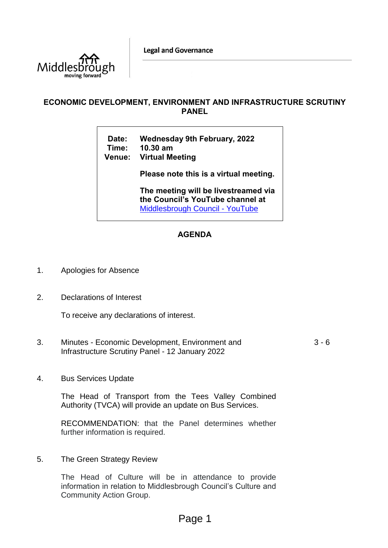**Legal and Governance** 



# **ECONOMIC DEVELOPMENT, ENVIRONMENT AND INFRASTRUCTURE SCRUTINY PANEL**

**Date: Wednesday 9th February, 2022 Time: 10.30 am**

**Venue: Virtual Meeting**

**Please note this is a virtual meeting.** 

**The meeting will be livestreamed via the Council's YouTube channel at**  [Middlesbrough Council -](https://www.youtube.com/user/middlesbroughcouncil) YouTube

# **AGENDA**

- 1. Apologies for Absence
- 2. Declarations of Interest

To receive any declarations of interest.

- 3. Minutes Economic Development, Environment and Infrastructure Scrutiny Panel - 12 January 2022  $3 - 6$
- 4. Bus Services Update

The Head of Transport from the Tees Valley Combined Authority (TVCA) will provide an update on Bus Services.

RECOMMENDATION: that the Panel determines whether further information is required.

5. The Green Strategy Review

The Head of Culture will be in attendance to provide information in relation to Middlesbrough Council's Culture and Community Action Group.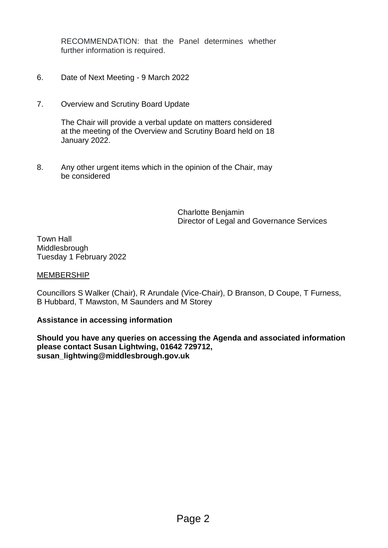RECOMMENDATION: that the Panel determines whether further information is required.

- 6. Date of Next Meeting 9 March 2022
- 7. Overview and Scrutiny Board Update

The Chair will provide a verbal update on matters considered at the meeting of the Overview and Scrutiny Board held on 18 January 2022.

8. Any other urgent items which in the opinion of the Chair, may be considered

> Charlotte Benjamin Director of Legal and Governance Services

Town Hall Middlesbrough Tuesday 1 February 2022

# MEMBERSHIP

Councillors S Walker (Chair), R Arundale (Vice-Chair), D Branson, D Coupe, T Furness, B Hubbard, T Mawston, M Saunders and M Storey

# **Assistance in accessing information**

**Should you have any queries on accessing the Agenda and associated information please contact Susan Lightwing, 01642 729712, susan\_lightwing@middlesbrough.gov.uk**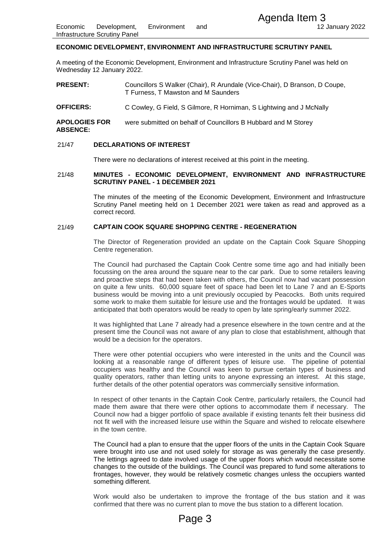### **ECONOMIC DEVELOPMENT, ENVIRONMENT AND INFRASTRUCTURE SCRUTINY PANEL**

A meeting of the Economic Development, Environment and Infrastructure Scrutiny Panel was held on Wednesday 12 January 2022.

**PRESENT:** Councillors S Walker (Chair), R Arundale (Vice-Chair), D Branson, D Coupe, T Furness, T Mawston and M Saunders

**OFFICERS:** C Cowley, G Field, S Gilmore, R Horniman, S Lightwing and J McNally

**APOLOGIES FOR ABSENCE:** were submitted on behalf of Councillors B Hubbard and M Storey

#### 21/47 **DECLARATIONS OF INTEREST**

There were no declarations of interest received at this point in the meeting.

#### 21/48 **MINUTES - ECONOMIC DEVELOPMENT, ENVIRONMENT AND INFRASTRUCTURE SCRUTINY PANEL - 1 DECEMBER 2021**

The minutes of the meeting of the Economic Development, Environment and Infrastructure Scrutiny Panel meeting held on 1 December 2021 were taken as read and approved as a correct record.

#### 21/49 **CAPTAIN COOK SQUARE SHOPPING CENTRE - REGENERATION**

The Director of Regeneration provided an update on the Captain Cook Square Shopping Centre regeneration.

The Council had purchased the Captain Cook Centre some time ago and had initially been focussing on the area around the square near to the car park. Due to some retailers leaving and proactive steps that had been taken with others, the Council now had vacant possession on quite a few units. 60,000 square feet of space had been let to Lane 7 and an E-Sports business would be moving into a unit previously occupied by Peacocks. Both units required some work to make them suitable for leisure use and the frontages would be updated. It was anticipated that both operators would be ready to open by late spring/early summer 2022. Agenda Item 3<br>
12<br>
MENT AND INFRASTRUCTURE SCRUTINY PANI<br>
Environment and Infrastructure Scrutiny Panel was<br>
Environment and Infrastructure Scrutiny Panel was<br>
ter (Chair), R Arundale (Vice-Chair), D Branson, D1<br>
Sigilmore

It was highlighted that Lane 7 already had a presence elsewhere in the town centre and at the present time the Council was not aware of any plan to close that establishment, although that would be a decision for the operators.

There were other potential occupiers who were interested in the units and the Council was looking at a reasonable range of different types of leisure use. The pipeline of potential occupiers was healthy and the Council was keen to pursue certain types of business and quality operators, rather than letting units to anyone expressing an interest. At this stage, further details of the other potential operators was commercially sensitive information.

In respect of other tenants in the Captain Cook Centre, particularly retailers, the Council had made them aware that there were other options to accommodate them if necessary. The Council now had a bigger portfolio of space available if existing tenants felt their business did not fit well with the increased leisure use within the Square and wished to relocate elsewhere in the town centre.

The Council had a plan to ensure that the upper floors of the units in the Captain Cook Square were brought into use and not used solely for storage as was generally the case presently. The lettings agreed to date involved usage of the upper floors which would necessitate some changes to the outside of the buildings. The Council was prepared to fund some alterations to frontages, however, they would be relatively cosmetic changes unless the occupiers wanted something different.

Work would also be undertaken to improve the frontage of the bus station and it was confirmed that there was no current plan to move the bus station to a different location.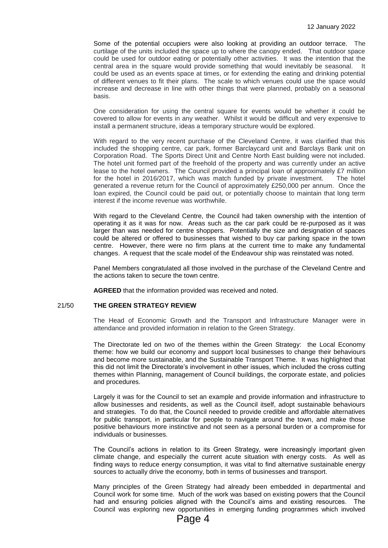Some of the potential occupiers were also looking at providing an outdoor terrace. The curtilage of the units included the space up to where the canopy ended. That outdoor space could be used for outdoor eating or potentially other activities. It was the intention that the central area in the square would provide something that would inevitably be seasonal. It could be used as an events space at times, or for extending the eating and drinking potential of different venues to fit their plans. The scale to which venues could use the space would increase and decrease in line with other things that were planned, probably on a seasonal basis.

One consideration for using the central square for events would be whether it could be covered to allow for events in any weather. Whilst it would be difficult and very expensive to install a permanent structure, ideas a temporary structure would be explored.

With regard to the very recent purchase of the Cleveland Centre, it was clarified that this included the shopping centre, car park, former Barclaycard unit and Barclays Bank unit on Corporation Road. The Sports Direct Unit and Centre North East building were not included. The hotel unit formed part of the freehold of the property and was currently under an active lease to the hotel owners. The Council provided a principal loan of approximately £7 million for the hotel in 2016/2017, which was match funded by private investment. The hotel generated a revenue return for the Council of approximately £250,000 per annum. Once the loan expired, the Council could be paid out, or potentially choose to maintain that long term interest if the income revenue was worthwhile.

With regard to the Cleveland Centre, the Council had taken ownership with the intention of operating it as it was for now. Areas such as the car park could be re-purposed as it was larger than was needed for centre shoppers. Potentially the size and designation of spaces could be altered or offered to businesses that wished to buy car parking space in the town centre. However, there were no firm plans at the current time to make any fundamental changes. A request that the scale model of the Endeavour ship was reinstated was noted.

Panel Members congratulated all those involved in the purchase of the Cleveland Centre and the actions taken to secure the town centre.

**AGREED** that the information provided was received and noted.

# 21/50 **THE GREEN STRATEGY REVIEW**

The Head of Economic Growth and the Transport and Infrastructure Manager were in attendance and provided information in relation to the Green Strategy.

The Directorate led on two of the themes within the Green Strategy: the Local Economy theme: how we build our economy and support local businesses to change their behaviours and become more sustainable, and the Sustainable Transport Theme. It was highlighted that this did not limit the Directorate's involvement in other issues, which included the cross cutting themes within Planning, management of Council buildings, the corporate estate, and policies and procedures.

Largely it was for the Council to set an example and provide information and infrastructure to allow businesses and residents, as well as the Council itself, adopt sustainable behaviours and strategies. To do that, the Council needed to provide credible and affordable alternatives for public transport, in particular for people to navigate around the town, and make those positive behaviours more instinctive and not seen as a personal burden or a compromise for individuals or businesses.

The Council's actions in relation to its Green Strategy, were increasingly important given climate change, and especially the current acute situation with energy costs. As well as finding ways to reduce energy consumption, it was vital to find alternative sustainable energy sources to actually drive the economy, both in terms of businesses and transport.

Many principles of the Green Strategy had already been embedded in departmental and Council work for some time. Much of the work was based on existing powers that the Council had and ensuring policies aligned with the Council's aims and existing resources. The Council was exploring new opportunities in emerging funding programmes which involved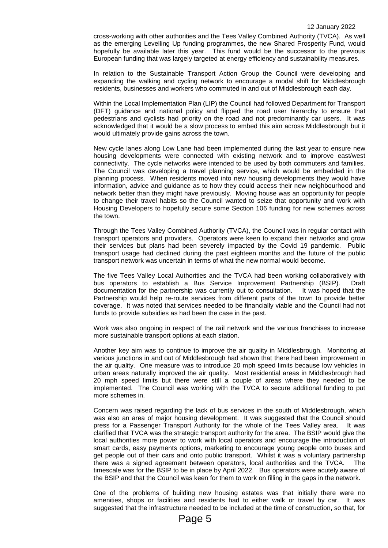cross-working with other authorities and the Tees Valley Combined Authority (TVCA). As well as the emerging Levelling Up funding programmes, the new Shared Prosperity Fund, would hopefully be available later this year. This fund would be the successor to the previous European funding that was largely targeted at energy efficiency and sustainability measures.

In relation to the Sustainable Transport Action Group the Council were developing and expanding the walking and cycling network to encourage a modal shift for Middlesbrough residents, businesses and workers who commuted in and out of Middlesbrough each day.

Within the Local Implementation Plan (LIP) the Council had followed Department for Transport (DFT) guidance and national policy and flipped the road user hierarchy to ensure that pedestrians and cyclists had priority on the road and not predominantly car users. It was acknowledged that it would be a slow process to embed this aim across Middlesbrough but it would ultimately provide gains across the town.

New cycle lanes along Low Lane had been implemented during the last year to ensure new housing developments were connected with existing network and to improve east/west connectivity. The cycle networks were intended to be used by both commuters and families. The Council was developing a travel planning service, which would be embedded in the planning process. When residents moved into new housing developments they would have information, advice and guidance as to how they could access their new neighbourhood and network better than they might have previously. Moving house was an opportunity for people to change their travel habits so the Council wanted to seize that opportunity and work with Housing Developers to hopefully secure some Section 106 funding for new schemes across the town.

Through the Tees Valley Combined Authority (TVCA), the Council was in regular contact with transport operators and providers. Operators were keen to expand their networks and grow their services but plans had been severely impacted by the Covid 19 pandemic. Public transport usage had declined during the past eighteen months and the future of the public transport network was uncertain in terms of what the new normal would become.

The five Tees Valley Local Authorities and the TVCA had been working collaboratively with bus operators to establish a Bus Service Improvement Partnership (BSIP). Draft documentation for the partnership was currently out to consultation. It was hoped that the Partnership would help re-route services from different parts of the town to provide better coverage. It was noted that services needed to be financially viable and the Council had not funds to provide subsidies as had been the case in the past.

Work was also ongoing in respect of the rail network and the various franchises to increase more sustainable transport options at each station.

Another key aim was to continue to improve the air quality in Middlesbrough.Monitoring at various junctions in and out of Middlesbrough had shown that there had been improvement in the air quality. One measure was to introduce 20 mph speed limits because low vehicles in urban areas naturally improved the air quality. Most residential areas in Middlesbrough had 20 mph speed limits but there were still a couple of areas where they needed to be implemented. The Council was working with the TVCA to secure additional funding to put more schemes in.

Concern was raised regarding the lack of bus services in the south of Middlesbrough, which was also an area of major housing development. It was suggested that the Council should press for a Passenger Transport Authority for the whole of the Tees Valley area. It was clarified that TVCA was the strategic transport authority for the area. The BSIP would give the local authorities more power to work with local operators and encourage the introduction of smart cards, easy payments options, marketing to encourage young people onto buses and get people out of their cars and onto public transport. Whilst it was a voluntary partnership there was a signed agreement between operators, local authorities and the TVCA. The timescale was for the BSIP to be in place by April 2022. Bus operators were acutely aware of the BSIP and that the Council was keen for them to work on filling in the gaps in the network.

One of the problems of building new housing estates was that initially there were no amenities, shops or facilities and residents had to either walk or travel by car. It was suggested that the infrastructure needed to be included at the time of construction, so that, for